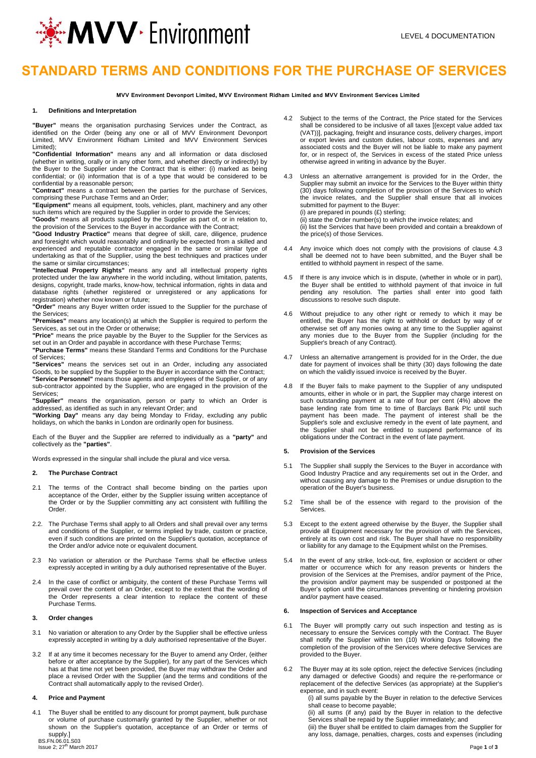

# **STANDARD TERMS AND CONDITIONS FOR THE PURCHASE OF SERVICES**

**MVV Environment Devonport Limited, MVV Environment Ridham Limited and MVV Environment Services Limited**

#### **1. Definitions and Interpretation**

**"Buyer"** means the organisation purchasing Services under the Contract, as identified on the Order (being any one or all of MVV Environment Devonport Limited, MVV Environment Ridham Limited and MVV Environment Services Limited);

**"Confidential Information"** means any and all information or data disclosed (whether in writing, orally or in any other form, and whether directly or indirectly) by the Buyer to the Supplier under the Contract that is either: (i) marked as being confidential; or (ii) information that is of a type that would be considered to be confidential by a reasonable person;

**"Contract"** means a contract between the parties for the purchase of Services, comprising these Purchase Terms and an Order;

**"Equipment"** means all equipment, tools, vehicles, plant, machinery and any other such items which are required by the Supplier in order to provide the Services;

**"Goods"** means all products supplied by the Supplier as part of, or in relation to, the provision of the Services to the Buyer in accordance with the Contract;

**"Good Industry Practice"** means that degree of skill, care, diligence, prudence and foresight which would reasonably and ordinarily be expected from a skilled and experienced and reputable contractor engaged in the same or similar type of undertaking as that of the Supplier, using the best techniques and practices under the same or similar circumstances;

**"Intellectual Property Rights"** means any and all intellectual property rights protected under the law anywhere in the world including, without limitation, patents, designs, copyright, trade marks, know-how, technical information, rights in data and database rights (whether registered or unregistered or any applications for registration) whether now known or future;

**"Order"** means any Buyer written order issued to the Supplier for the purchase of the Services;

**"Premises"** means any location(s) at which the Supplier is required to perform the Services, as set out in the Order or otherwise;

**"Price"** means the price payable by the Buyer to the Supplier for the Services as set out in an Order and payable in accordance with these Purchase Terms;

**"Purchase Terms"** means these Standard Terms and Conditions for the Purchase of Services;

**"Services"** means the services set out in an Order, including any associated Goods, to be supplied by the Supplier to the Buyer in accordance with the Contract; **"Service Personnel"** means those agents and employees of the Supplier, or of any sub-contractor appointed by the Supplier, who are engaged in the provision of the Services;

**"Supplier"** means the organisation, person or party to which an Order is addressed, as identified as such in any relevant Order; and

**"Working Day"** means any day being Monday to Friday, excluding any public holidays, on which the banks in London are ordinarily open for business.

Each of the Buyer and the Supplier are referred to individually as a **"party"** and collectively as the **"parties"**.

Words expressed in the singular shall include the plural and vice versa.

#### **2. The Purchase Contract**

- 2.1 The terms of the Contract shall become binding on the parties upon acceptance of the Order, either by the Supplier issuing written acceptance of the Order or by the Supplier committing any act consistent with fulfilling the **Order**
- 2.2. The Purchase Terms shall apply to all Orders and shall prevail over any terms and conditions of the Supplier, or terms implied by trade, custom or practice, even if such conditions are printed on the Supplier's quotation, acceptance of the Order and/or advice note or equivalent document.
- 2.3 No variation or alteration or the Purchase Terms shall be effective unless expressly accepted in writing by a duly authorised representative of the Buyer.
- 2.4 In the case of conflict or ambiguity, the content of these Purchase Terms will prevail over the content of an Order, except to the extent that the wording of the Order represents a clear intention to replace the content of these Purchase Terms.

#### **3. Order changes**

- 3.1 No variation or alteration to any Order by the Supplier shall be effective unless expressly accepted in writing by a duly authorised representative of the Buyer.
- 3.2 If at any time it becomes necessary for the Buyer to amend any Order, (either before or after acceptance by the Supplier), for any part of the Services which has at that time not yet been provided, the Buyer may withdraw the Order and place a revised Order with the Supplier (and the terms and conditions of the Contract shall automatically apply to the revised Order).

### **4. Price and Payment**

4.1 The Buyer shall be entitled to any discount for prompt payment, bulk purchase or volume of purchase customarily granted by the Supplier, whether or not shown on the Supplier's quotation, acceptance of an Order or terms of supply.]

BS.FN.06.01.S03<br>Issue 2; 27<sup>th</sup> Marc

4.2 Subject to the terms of the Contract, the Price stated for the Services shall be considered to be inclusive of all taxes [(except value added tax (VAT))], packaging, freight and insurance costs, delivery charges, import or export levies and custom duties, labour costs, expenses and any associated costs and the Buyer will not be liable to make any payment for, or in respect of, the Services in excess of the stated Price unless otherwise agreed in writing in advance by the Buyer.

4.3 Unless an alternative arrangement is provided for in the Order, the Supplier may submit an invoice for the Services to the Buyer within thirty (30) days following completion of the provision of the Services to which the invoice relates, and the Supplier shall ensure that all invoices submitted for payment to the Buyer: (i) are prepared in pounds (£) sterling; (ii) state the Order number(s) to which the invoice relates; and (ii) list the Services that have been provided and contain a breakdown of

the price(s) of those Services.

- 4.4 Any invoice which does not comply with the provisions of clause 4.3 shall be deemed not to have been submitted, and the Buyer shall be entitled to withhold payment in respect of the same.
- 4.5 If there is any invoice which is in dispute, (whether in whole or in part), the Buyer shall be entitled to withhold payment of that invoice in full pending any resolution. The parties shall enter into good faith discussions to resolve such dispute.
- 4.6 Without prejudice to any other right or remedy to which it may be entitled, the Buyer has the right to withhold or deduct by way of or otherwise set off any monies owing at any time to the Supplier against any monies due to the Buyer from the Supplier (including for the Supplier's breach of any Contract).
- 4.7 Unless an alternative arrangement is provided for in the Order, the due date for payment of invoices shall be thirty (30) days following the date on which the validly issued invoice is received by the Buyer.
- 4.8 If the Buyer fails to make payment to the Supplier of any undisputed amounts, either in whole or in part, the Supplier may charge interest on such outstanding payment at a rate of four per cent (4%) above the base lending rate from time to time of Barclays Bank Plc until such payment has been made. The payment of interest shall be the Supplier's sole and exclusive remedy in the event of late payment, and the Supplier shall not be entitled to suspend performance of its obligations under the Contract in the event of late payment.

#### **5. Provision of the Services**

- 5.1 The Supplier shall supply the Services to the Buyer in accordance with Good Industry Practice and any requirements set out in the Order, and without causing any damage to the Premises or undue disruption to the operation of the Buyer's business.
- 5.2 Time shall be of the essence with regard to the provision of the **Services**
- 5.3 Except to the extent agreed otherwise by the Buyer, the Supplier shall provide all Equipment necessary for the provision of with the Services, entirely at its own cost and risk. The Buyer shall have no responsibility or liability for any damage to the Equipment whilst on the Premises.
- 5.4 In the event of any strike, lock-out, fire, explosion or accident or other matter or occurrence which for any reason prevents or hinders the provision of the Services at the Premises, and/or payment of the Price, the provision and/or payment may be suspended or postponed at the Buyer's option until the circumstances preventing or hindering provision and/or payment have ceased.

#### **6. Inspection of Services and Acceptance**

- 6.1 The Buyer will promptly carry out such inspection and testing as is necessary to ensure the Services comply with the Contract. The Buyer shall notify the Supplier within ten (10) Working Days following the completion of the provision of the Services where defective Services are provided to the Buyer.
- 6.2 The Buyer may at its sole option, reject the defective Services (including any damaged or defective Goods) and require the re-performance or replacement of the defective Services (as appropriate) at the Supplier's expense, and in such event:

(i) all sums payable by the Buyer in relation to the defective Services shall cease to become payable;

(ii) all sums (if any) paid by the Buyer in relation to the defective Services shall be repaid by the Supplier immediately; and

(iii) the Buyer shall be entitled to claim damages from the Supplier for any loss, damage, penalties, charges, costs and expenses (including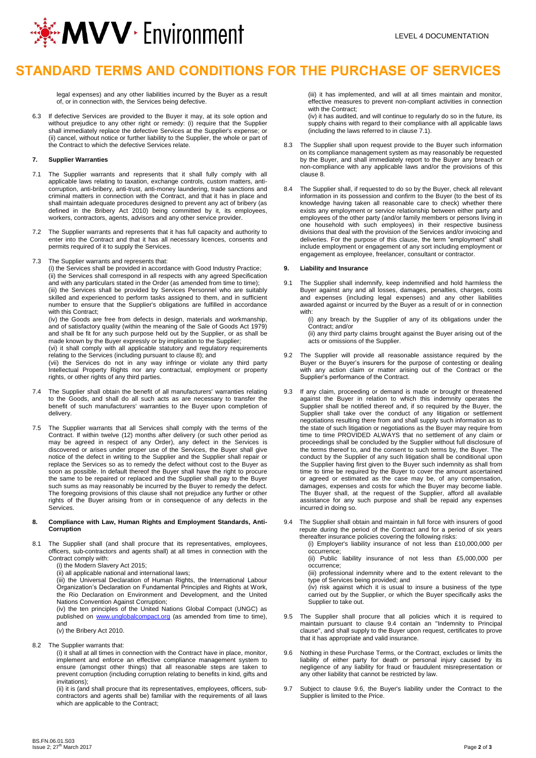

# **STANDARD TERMS AND CONDITIONS FOR THE PURCHASE OF SERVICES**

legal expenses) and any other liabilities incurred by the Buyer as a result of, or in connection with, the Services being defective.

6.3 If defective Services are provided to the Buyer it may, at its sole option and without prejudice to any other right or remedy: (i) require that the Supplier shall immediately replace the defective Services at the Supplier's expense; or (ii) cancel, without notice or further liability to the Supplier, the whole or part of the Contract to which the defective Services relate.

#### **7. Supplier Warranties**

- 7.1 The Supplier warrants and represents that it shall fully comply with all applicable laws relating to taxation, exchange controls, custom matters, anticorruption, anti-bribery, anti-trust, anti-money laundering, trade sanctions and criminal matters in connection with the Contract, and that it has in place and shall maintain adequate procedures designed to prevent any act of bribery (as defined in the Bribery Act 2010) being committed by it, its employees, workers, contractors, agents, advisors and any other service provider.
- 7.2 The Supplier warrants and represents that it has full capacity and authority to enter into the Contract and that it has all necessary licences, consents and permits required of it to supply the Services.
- 7.3 The Supplier warrants and represents that:

(i) the Services shall be provided in accordance with Good Industry Practice; (ii) the Services shall correspond in all respects with any agreed Specification and with any particulars stated in the Order (as amended from time to time); (iii) the Services shall be provided by Services Personnel who are suitably skilled and experienced to perform tasks assigned to them, and in sufficient number to ensure that the Supplier's obligations are fulfilled in accordance with this Contract:

(iv) the Goods are free from defects in design, materials and workmanship, and of satisfactory quality (within the meaning of the Sale of Goods Act 1979) and shall be fit for any such purpose held out by the Supplier, or as shall be made known by the Buyer expressly or by implication to the Supplier;

(vi) it shall comply with all applicable statutory and regulatory requirements relating to the Services (including pursuant to clause 8); and

(vii) the Services do not in any way infringe or violate any third party Intellectual Property Rights nor any contractual, employment or property rights, or other rights of any third parties.

- 7.4 The Supplier shall obtain the benefit of all manufacturers' warranties relating to the Goods, and shall do all such acts as are necessary to transfer the benefit of such manufacturers' warranties to the Buyer upon completion of delivery.
- 7.5 The Supplier warrants that all Services shall comply with the terms of the Contract. If within twelve (12) months after delivery (or such other period as may be agreed in respect of any Order), any defect in the Services is discovered or arises under proper use of the Services, the Buyer shall give notice of the defect in writing to the Supplier and the Supplier shall repair or replace the Services so as to remedy the defect without cost to the Buyer as soon as possible. In default thereof the Buyer shall have the right to procure the same to be repaired or replaced and the Supplier shall pay to the Buyer such sums as may reasonably be incurred by the Buyer to remedy the defect. The foregoing provisions of this clause shall not prejudice any further or other rights of the Buyer arising from or in consequence of any defects in the Services.

#### **8. Compliance with Law, Human Rights and Employment Standards, Anti-Corruption**

8.1 The Supplier shall (and shall procure that its representatives, employees, officers, sub-contractors and agents shall) at all times in connection with the Contract comply with:

(i) the Modern Slavery Act 2015;

(ii) all applicable national and international laws;

(iii) the Universal Declaration of Human Rights, the International Labour Organization's Declaration on Fundamental Principles and Rights at Work, the Rio Declaration on Environment and Development, and the United Nations Convention Against Corruption;

(iv) the ten principles of the United Nations Global Compact (UNGC) as published on [www.unglobalcompact.org](http://www.unglobalcompact.org/) (as amended from time to time), and

(v) the Bribery Act 2010.

8.2 The Supplier warrants that:

(i) it shall at all times in connection with the Contract have in place, monitor, implement and enforce an effective compliance management system to ensure (amongst other things) that all reasonable steps are taken to prevent corruption (including corruption relating to benefits in kind, gifts and invitations);

(ii) it is (and shall procure that its representatives, employees, officers, subcontractors and agents shall be) familiar with the requirements of all laws which are applicable to the Contract;

(iii) it has implemented, and will at all times maintain and monitor, effective measures to prevent non-compliant activities in connection with the Contract;

(iv) it has audited, and will continue to regularly do so in the future, its supply chains with regard to their compliance with all applicable laws (including the laws referred to in clause 7.1).

- 8.3 The Supplier shall upon request provide to the Buyer such information on its compliance management system as may reasonably be requested by the Buyer, and shall immediately report to the Buyer any breach or non-compliance with any applicable laws and/or the provisions of this clause 8.
- 8.4 The Supplier shall, if requested to do so by the Buyer, check all relevant information in its possession and confirm to the Buyer (to the best of its knowledge having taken all reasonable care to check) whether there exists any employment or service relationship between either party and employees of the other party (and/or family members or persons living in one household with such employees) in their respective business divisions that deal with the provision of the Services and/or invoicing and deliveries. For the purpose of this clause, the term "employment" shall include employment or engagement of any sort including employment or engagement as employee, freelancer, consultant or contractor.

#### **9. Liability and Insurance**

9.1 The Supplier shall indemnify, keep indemnified and hold harmless the Buyer against any and all losses, damages, penalties, charges, costs and expenses (including legal expenses) and any other liabilities awarded against or incurred by the Buyer as a result of or in connection with:

(i) any breach by the Supplier of any of its obligations under the Contract; and/or

(ii) any third party claims brought against the Buyer arising out of the acts or omissions of the Supplier.

- 9.2 The Supplier will provide all reasonable assistance required by the Buyer or the Buyer's insurers for the purpose of contesting or dealing with any action claim or matter arising out of the Contract or the Supplier's performance of the Contract.
- 9.3 If any claim, proceeding or demand is made or brought or threatened against the Buyer in relation to which this indemnity operates the Supplier shall be notified thereof and, if so required by the Buyer, the Supplier shall take over the conduct of any litigation or settlement negotiations resulting there from and shall supply such information as to the state of such litigation or negotiations as the Buyer may require from time to time PROVIDED ALWAYS that no settlement of any claim or proceedings shall be concluded by the Supplier without full disclosure of the terms thereof to, and the consent to such terms by, the Buyer. The conduct by the Supplier of any such litigation shall be conditional upon the Supplier having first given to the Buyer such indemnity as shall from time to time be required by the Buyer to cover the amount ascertained or agreed or estimated as the case may be, of any compensation, damages, expenses and costs for which the Buyer may become liable. The Buyer shall, at the request of the Supplier, afford all available assistance for any such purpose and shall be repaid any expenses incurred in doing so.
- The Supplier shall obtain and maintain in full force with insurers of good repute during the period of the Contract and for a period of six years thereafter insurance policies covering the following risks:

(i) Employer's liability insurance of not less than £10,000,000 per occurrence;

(ii) Public liability insurance of not less than £5,000,000 per occurrence;

(iii) professional indemnity where and to the extent relevant to the type of Services being provided; and

(iv) risk against which it is usual to insure a business of the type carried out by the Supplier, or which the Buyer specifically asks the Supplier to take out.

- 9.5 The Supplier shall procure that all policies which it is required to maintain pursuant to clause 9.4 contain an "Indemnity to Principal clause", and shall supply to the Buyer upon request, certificates to prove that it has appropriate and valid insurance.
- 9.6 Nothing in these Purchase Terms, or the Contract, excludes or limits the liability of either party for death or personal injury caused by its negligence of any liability for fraud or fraudulent misrepresentation or any other liability that cannot be restricted by law.
- 9.7 Subject to clause 9.6, the Buyer's liability under the Contract to the Supplier is limited to the Price.